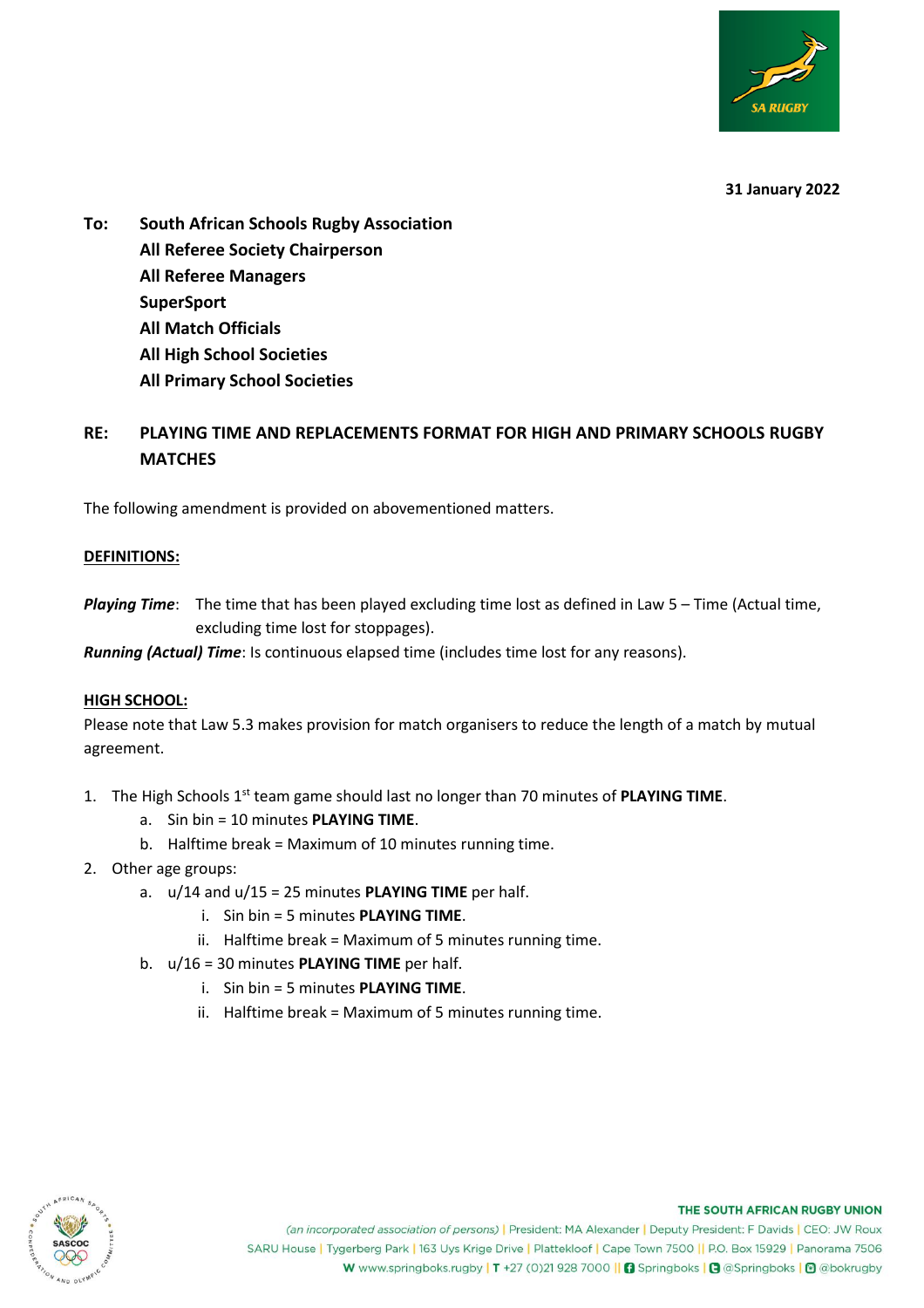

**31 January 2022**

**To: South African Schools Rugby Association All Referee Society Chairperson All Referee Managers SuperSport All Match Officials All High School Societies All Primary School Societies**

# **RE: PLAYING TIME AND REPLACEMENTS FORMAT FOR HIGH AND PRIMARY SCHOOLS RUGBY MATCHES**

The following amendment is provided on abovementioned matters.

### **DEFINITIONS:**

*Playing Time*: The time that has been played excluding time lost as defined in Law 5 – Time (Actual time, excluding time lost for stoppages).

*Running (Actual) Time*: Is continuous elapsed time (includes time lost for any reasons).

### **HIGH SCHOOL:**

Please note that Law 5.3 makes provision for match organisers to reduce the length of a match by mutual agreement.

- 1. The High Schools 1st team game should last no longer than 70 minutes of **PLAYING TIME**.
	- a. Sin bin = 10 minutes **PLAYING TIME**.
	- b. Halftime break = Maximum of 10 minutes running time.
- 2. Other age groups:
	- a. u/14 and u/15 = 25 minutes **PLAYING TIME** per half.
		- i. Sin bin = 5 minutes **PLAYING TIME**.
		- ii. Halftime break = Maximum of 5 minutes running time.
	- b. u/16 = 30 minutes **PLAYING TIME** per half.
		- i. Sin bin = 5 minutes **PLAYING TIME**.
		- ii. Halftime break = Maximum of 5 minutes running time.



#### THE SOUTH AFRICAN RUGBY UNION

(an incorporated association of persons) | President: MA Alexander | Deputy President: F Davids | CEO: JW Roux SARU House | Tygerberg Park | 163 Uys Krige Drive | Plattekloof | Cape Town 7500 || P.O. Box 15929 | Panorama 7506 W www.springboks.rugby | T +27 (0)21 928 7000 || G Springboks | G @Springboks | © @bokrugby